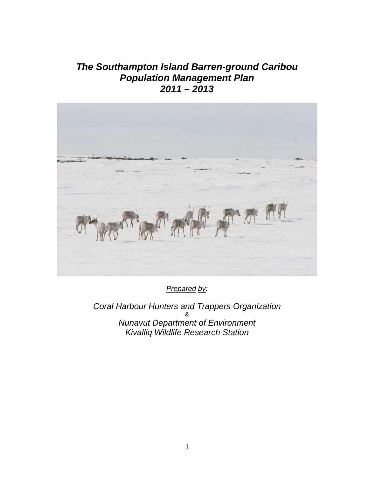# *The Southampton Island Barren-ground Caribou Population Management Plan 2011 – 2013*



*Prepared by:*

*Coral Harbour Hunters and Trappers Organization*  & *Nunavut Department of Environment Kivalliq Wildlife Research Station*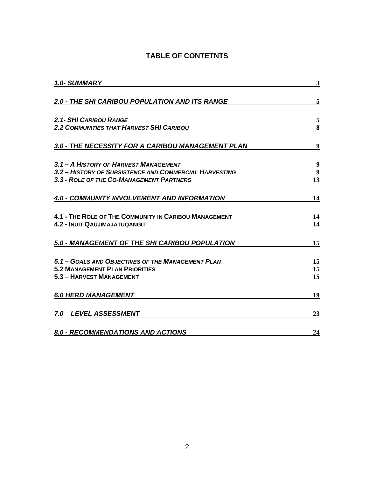### **TABLE OF CONTETNTS**

| <b>1.0- SUMMARY</b>                                    | 3      |  |
|--------------------------------------------------------|--------|--|
| 2.0 - THE SHI CARIBOU POPULATION AND ITS RANGE         | 5      |  |
| <b>2.1- SHI CARIBOU RANGE</b>                          | 5<br>8 |  |
| <b>2.2 COMMUNITIES THAT HARVEST SHI CARIBOU</b>        |        |  |
| 3.0 - THE NECESSITY FOR A CARIBOU MANAGEMENT PLAN      | 9      |  |
| 3.1 - A HISTORY OF HARVEST MANAGEMENT                  | 9      |  |
| 3.2 - HISTORY OF SUBSISTENCE AND COMMERCIAL HARVESTING | 9      |  |
| 3.3 - ROLE OF THE CO-MANAGEMENT PARTNERS               | 13     |  |
| 4.0 - COMMUNITY INVOLVEMENT AND INFORMATION            | 14     |  |
| 4.1 - THE ROLE OF THE COMMUNITY IN CARIBOU MANAGEMENT  | 14     |  |
| <b>4.2 - INUIT QAUJIMAJATUQANGIT</b>                   | 14     |  |
| 5.0 - MANAGEMENT OF THE SHI CARIBOU POPULATION         | 15     |  |
| 5.1 - GOALS AND OBJECTIVES OF THE MANAGEMENT PLAN      | 15     |  |
| <b>5.2 MANAGEMENT PLAN PRIORITIES</b>                  | 15     |  |
| 5.3 - HARVEST MANAGEMENT                               | 15     |  |
| <b>6.0 HERD MANAGEMENT</b>                             | 19     |  |
| <b>LEVEL ASSESSMENT</b><br>7.0                         | 23     |  |
| 8.0 - RECOMMENDATIONS AND ACTIONS                      | 24     |  |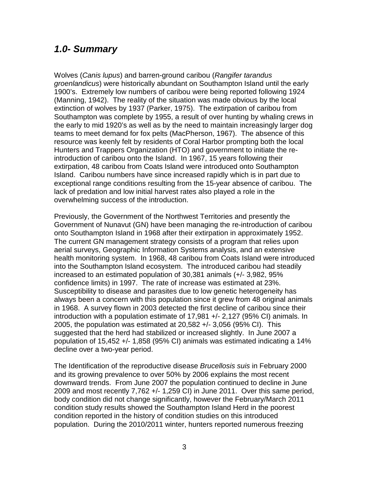## <span id="page-2-0"></span>*1.0- Summary*

Wolves (*Canis lupus*) and barren-ground caribou (*Rangifer tarandus groenlandicus*) were historically abundant on Southampton Island until the early 1900's. Extremely low numbers of caribou were being reported following 1924 (Manning, 1942). The reality of the situation was made obvious by the local extinction of wolves by 1937 (Parker, 1975). The extirpation of caribou from Southampton was complete by 1955, a result of over hunting by whaling crews in the early to mid 1920's as well as by the need to maintain increasingly larger dog teams to meet demand for fox pelts (MacPherson, 1967). The absence of this resource was keenly felt by residents of Coral Harbor prompting both the local Hunters and Trappers Organization (HTO) and government to initiate the reintroduction of caribou onto the Island. In 1967, 15 years following their extirpation, 48 caribou from Coats Island were introduced onto Southampton Island. Caribou numbers have since increased rapidly which is in part due to exceptional range conditions resulting from the 15-year absence of caribou. The lack of predation and low initial harvest rates also played a role in the overwhelming success of the introduction.

Previously, the Government of the Northwest Territories and presently the Government of Nunavut (GN) have been managing the re-introduction of caribou onto Southampton Island in 1968 after their extirpation in approximately 1952. The current GN management strategy consists of a program that relies upon aerial surveys, Geographic Information Systems analysis, and an extensive health monitoring system. In 1968, 48 caribou from Coats Island were introduced into the Southampton Island ecosystem. The introduced caribou had steadily increased to an estimated population of 30,381 animals (+/- 3,982, 95% confidence limits) in 1997. The rate of increase was estimated at 23%. Susceptibility to disease and parasites due to low genetic heterogeneity has always been a concern with this population since it grew from 48 original animals in 1968. A survey flown in 2003 detected the first decline of caribou since their introduction with a population estimate of 17,981 +/- 2,127 (95% CI) animals. In 2005, the population was estimated at 20,582 +/- 3,056 (95% CI). This suggested that the herd had stabilized or increased slightly. In June 2007 a population of 15,452 +/- 1,858 (95% CI) animals was estimated indicating a 14% decline over a two-year period.

The Identification of the reproductive disease *Brucellosis suis* in February 2000 and its growing prevalence to over 50% by 2006 explains the most recent downward trends. From June 2007 the population continued to decline in June 2009 and most recently 7,762 +/- 1,259 CI) in June 2011. Over this same period, body condition did not change significantly, however the February/March 2011 condition study results showed the Southampton Island Herd in the poorest condition reported in the history of condition studies on this introduced population. During the 2010/2011 winter, hunters reported numerous freezing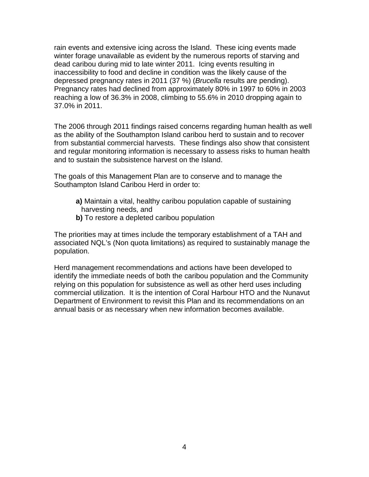rain events and extensive icing across the Island. These icing events made winter forage unavailable as evident by the numerous reports of starving and dead caribou during mid to late winter 2011. Icing events resulting in inaccessibility to food and decline in condition was the likely cause of the depressed pregnancy rates in 2011 (37 %) (*Brucella* results are pending). Pregnancy rates had declined from approximately 80% in 1997 to 60% in 2003 reaching a low of 36.3% in 2008, climbing to 55.6% in 2010 dropping again to 37.0% in 2011.

The 2006 through 2011 findings raised concerns regarding human health as well as the ability of the Southampton Island caribou herd to sustain and to recover from substantial commercial harvests. These findings also show that consistent and regular monitoring information is necessary to assess risks to human health and to sustain the subsistence harvest on the Island.

The goals of this Management Plan are to conserve and to manage the Southampton Island Caribou Herd in order to:

- **a)** Maintain a vital, healthy caribou population capable of sustaining harvesting needs, and
- **b)** To restore a depleted caribou population

The priorities may at times include the temporary establishment of a TAH and associated NQL's (Non quota limitations) as required to sustainably manage the population.

Herd management recommendations and actions have been developed to identify the immediate needs of both the caribou population and the Community relying on this population for subsistence as well as other herd uses including commercial utilization. It is the intention of Coral Harbour HTO and the Nunavut Department of Environment to revisit this Plan and its recommendations on an annual basis or as necessary when new information becomes available.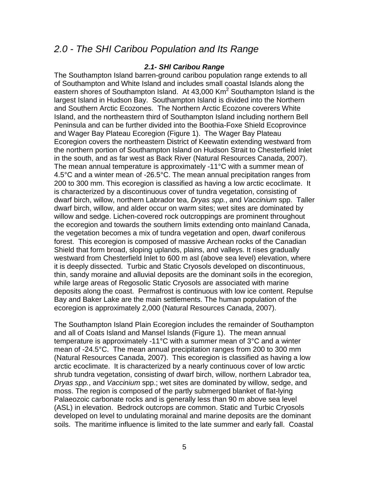## *2.0 - The SHI Caribou Population and Its Range*

#### <span id="page-4-1"></span><span id="page-4-0"></span>*2.1- SHI Caribou Range*

The Southampton Island barren-ground caribou population range extends to all of Southampton and White Island and includes small coastal Islands along the eastern shores of Southampton Island. At  $43,000$  Km<sup>2</sup> Southampton Island is the largest Island in Hudson Bay. Southampton Island is divided into the Northern and Southern Arctic Ecozones. The Northern Arctic Ecozone coverers White Island, and the northeastern third of Southampton Island including northern Bell Peninsula and can be further divided into the Boothia-Foxe Shield Ecoprovince and Wager Bay Plateau Ecoregion (Figure 1). The Wager Bay Plateau Ecoregion covers the northeastern District of Keewatin extending westward from the northern portion of Southampton Island on Hudson Strait to Chesterfield Inlet in the south, and as far west as Back River (Natural Resources Canada, 2007). The mean annual temperature is approximately -11°C with a summer mean of 4.5°C and a winter mean of -26.5°C. The mean annual precipitation ranges from 200 to 300 mm. This ecoregion is classified as having a low arctic ecoclimate. It is characterized by a discontinuous cover of tundra vegetation, consisting of dwarf birch, willow, northern Labrador tea, *Dryas spp.*, and *Vaccinium* spp. Taller dwarf birch, willow, and alder occur on warm sites; wet sites are dominated by willow and sedge. Lichen-covered rock outcroppings are prominent throughout the ecoregion and towards the southern limits extending onto mainland Canada, the vegetation becomes a mix of tundra vegetation and open, dwarf coniferous forest. This ecoregion is composed of massive Archean rocks of the Canadian Shield that form broad, sloping uplands, plains, and valleys. It rises gradually westward from Chesterfield Inlet to 600 m asl (above sea level) elevation, where it is deeply dissected. Turbic and Static Cryosols developed on discontinuous, thin, sandy moraine and alluvial deposits are the dominant soils in the ecoregion, while large areas of Regosolic Static Cryosols are associated with marine deposits along the coast. Permafrost is continuous with low ice content. Repulse Bay and Baker Lake are the main settlements. The human population of the ecoregion is approximately 2,000 (Natural Resources Canada, 2007).

The Southampton Island Plain Ecoregion includes the remainder of Southampton and all of Coats Island and Mansel Islands (Figure 1). The mean annual temperature is approximately -11°C with a summer mean of 3°C and a winter mean of -24.5°C. The mean annual precipitation ranges from 200 to 300 mm (Natural Resources Canada, 2007). This ecoregion is classified as having a low arctic ecoclimate. It is characterized by a nearly continuous cover of low arctic shrub tundra vegetation, consisting of dwarf birch, willow, northern Labrador tea, *Dryas spp.*, and *Vaccinium* spp.; wet sites are dominated by willow, sedge, and moss. The region is composed of the partly submerged blanket of flat-lying Palaeozoic carbonate rocks and is generally less than 90 m above sea level (ASL) in elevation. Bedrock outcrops are common. Static and Turbic Cryosols developed on level to undulating morainal and marine deposits are the dominant soils. The maritime influence is limited to the late summer and early fall. Coastal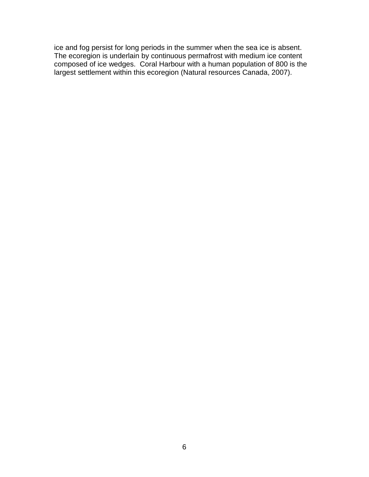ice and fog persist for long periods in the summer when the sea ice is absent. The ecoregion is underlain by continuous permafrost with medium ice content composed of ice wedges. Coral Harbour with a human population of 800 is the largest settlement within this ecoregion (Natural resources Canada, 2007).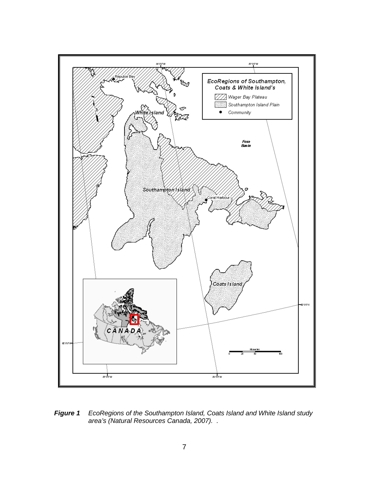

*Figure 1 EcoRegions of the Southampton Island, Coats Island and White Island study area's (Natural Resources Canada, 2007). .*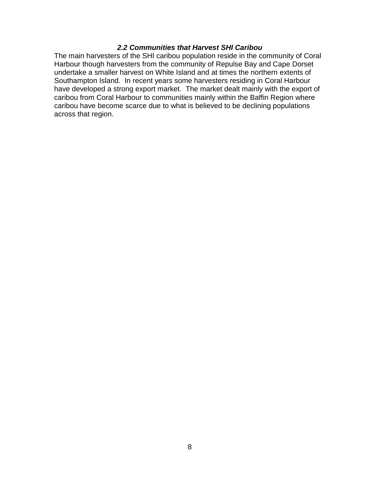#### <span id="page-7-0"></span>*2.2 Communities that Harvest SHI Caribou*

The main harvesters of the SHI caribou population reside in the community of Coral Harbour though harvesters from the community of Repulse Bay and Cape Dorset undertake a smaller harvest on White Island and at times the northern extents of Southampton Island. In recent years some harvesters residing in Coral Harbour have developed a strong export market. The market dealt mainly with the export of caribou from Coral Harbour to communities mainly within the Baffin Region where caribou have become scarce due to what is believed to be declining populations across that region.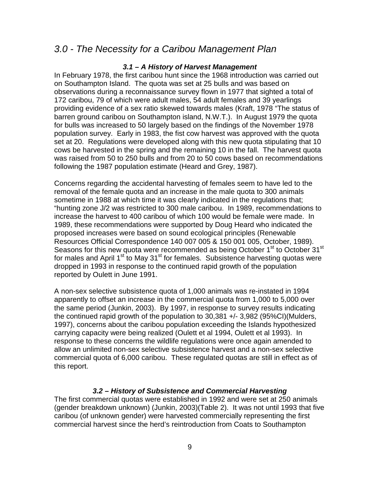# *3.0 - The Necessity for a Caribou Management Plan*

#### <span id="page-8-1"></span><span id="page-8-0"></span>*3.1 – A History of Harvest Management*

In February 1978, the first caribou hunt since the 1968 introduction was carried out on Southampton Island. The quota was set at 25 bulls and was based on observations during a reconnaissance survey flown in 1977 that sighted a total of 172 caribou, 79 of which were adult males, 54 adult females and 39 yearlings providing evidence of a sex ratio skewed towards males (Kraft, 1978 "The status of barren ground caribou on Southampton island, N.W.T.). In August 1979 the quota for bulls was increased to 50 largely based on the findings of the November 1978 population survey. Early in 1983, the fist cow harvest was approved with the quota set at 20. Regulations were developed along with this new quota stipulating that 10 cows be harvested in the spring and the remaining 10 in the fall. The harvest quota was raised from 50 to 250 bulls and from 20 to 50 cows based on recommendations following the 1987 population estimate (Heard and Grey, 1987).

Concerns regarding the accidental harvesting of females seem to have led to the removal of the female quota and an increase in the male quota to 300 animals sometime in 1988 at which time it was clearly indicated in the regulations that; "hunting zone J/2 was restricted to 300 male caribou. In 1989, recommendations to increase the harvest to 400 caribou of which 100 would be female were made. In 1989, these recommendations were supported by Doug Heard who indicated the proposed increases were based on sound ecological principles (Renewable Resources Official Correspondence 140 007 005 & 150 001 005, October, 1989). Seasons for this new quota were recommended as being October 1<sup>st</sup> to October 31<sup>st</sup> for males and April  $1^{st}$  to May  $31^{st}$  for females. Subsistence harvesting quotas were dropped in 1993 in response to the continued rapid growth of the population reported by Oulett in June 1991.

A non-sex selective subsistence quota of 1,000 animals was re-instated in 1994 apparently to offset an increase in the commercial quota from 1,000 to 5,000 over the same period (Junkin, 2003). By 1997, in response to survey results indicating the continued rapid growth of the population to 30,381 +/- 3,982 (95%CI)(Mulders, 1997), concerns about the caribou population exceeding the Islands hypothesized carrying capacity were being realized (Oulett et al 1994, Oulett et al 1993). In response to these concerns the wildlife regulations were once again amended to allow an unlimited non-sex selective subsistence harvest and a non-sex selective commercial quota of 6,000 caribou. These regulated quotas are still in effect as of this report.

#### <span id="page-8-2"></span>*3.2 – History of Subsistence and Commercial Harvesting*

The first commercial quotas were established in 1992 and were set at 250 animals (gender breakdown unknown) (Junkin, 2003)(Table 2). It was not until 1993 that five caribou (of unknown gender) were harvested commercially representing the first commercial harvest since the herd's reintroduction from Coats to Southampton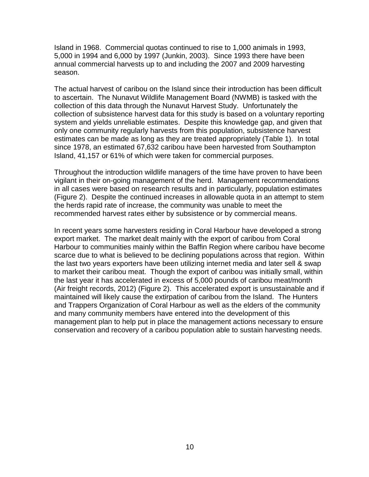Island in 1968. Commercial quotas continued to rise to 1,000 animals in 1993, 5,000 in 1994 and 6,000 by 1997 (Junkin, 2003). Since 1993 there have been annual commercial harvests up to and including the 2007 and 2009 harvesting season.

The actual harvest of caribou on the Island since their introduction has been difficult to ascertain. The Nunavut Wildlife Management Board (NWMB) is tasked with the collection of this data through the Nunavut Harvest Study. Unfortunately the collection of subsistence harvest data for this study is based on a voluntary reporting system and yields unreliable estimates. Despite this knowledge gap, and given that only one community regularly harvests from this population, subsistence harvest estimates can be made as long as they are treated appropriately (Table 1). In total since 1978, an estimated 67,632 caribou have been harvested from Southampton Island, 41,157 or 61% of which were taken for commercial purposes.

Throughout the introduction wildlife managers of the time have proven to have been vigilant in their on-going management of the herd. Management recommendations in all cases were based on research results and in particularly, population estimates (Figure 2). Despite the continued increases in allowable quota in an attempt to stem the herds rapid rate of increase, the community was unable to meet the recommended harvest rates either by subsistence or by commercial means.

In recent years some harvesters residing in Coral Harbour have developed a strong export market. The market dealt mainly with the export of caribou from Coral Harbour to communities mainly within the Baffin Region where caribou have become scarce due to what is believed to be declining populations across that region. Within the last two years exporters have been utilizing internet media and later sell & swap to market their caribou meat. Though the export of caribou was initially small, within the last year it has accelerated in excess of 5,000 pounds of caribou meat/month (Air freight records, 2012) (Figure 2). This accelerated export is unsustainable and if maintained will likely cause the extirpation of caribou from the Island. The Hunters and Trappers Organization of Coral Harbour as well as the elders of the community and many community members have entered into the development of this management plan to help put in place the management actions necessary to ensure conservation and recovery of a caribou population able to sustain harvesting needs.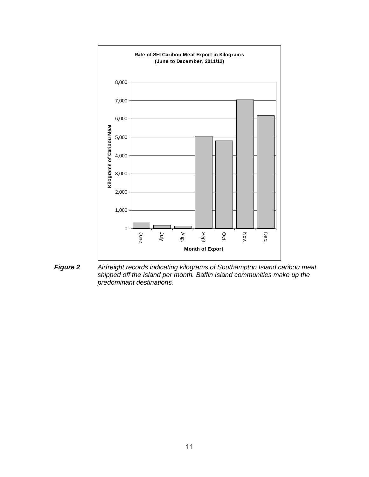

*Figure 2 Airfreight records indicating kilograms of Southampton Island caribou meat shipped off the Island per month. Baffin Island communities make up the predominant destinations.*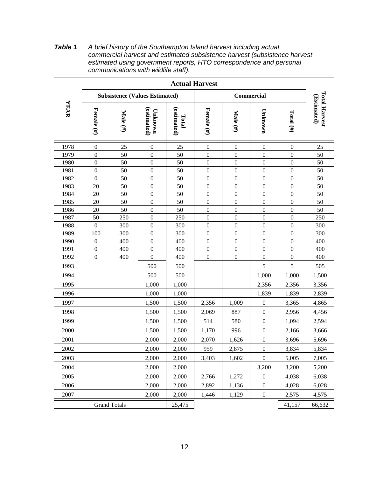**Actual Harvest Total Harvest Total Harvest Subsistence (Values Estimated) Commercial** (Estimated) **(Estimated) YEAR Female (#)**<br> **Female (#)**<br> **Total (estimated)**<br> **Male (#)**<br> **Female (#)**<br> **Female (#)**<br> **Female (#) Total (#)** 1978 0 25 0 25 0 0 0 0 25 1979 0 50 0 50 0 0 0 0 0 50 1980 0 50 0 50 0 0 0 0 0 50 1981 | 0 | 50 | 0 | 50 | 0 | 0 | 0 | 0 | 50 1982 0 50 0 50 0 0 0 0 0 50 1983 | 20 | 50 | 0 | 50 | 0 | 0 | 0 | 0 | 50 1984 | 20 | 50 | 0 | 50 | 0 | 0 | 0 | 0 | 50 1985 | 20 | 50 | 0 | 50 | 0 | 0 | 0 | 0 | 50 1986 | 20 | 50 | 0 | 50 | 0 | 0 | 0 | 0 | 50 1987 | 50 | 250 | 0 | 250 | 0 | 0 | 0 | 0 | 250 1988 | 0 | 300 | 0 | 300 | 0 | 0 | 0 | 0 | 300 1989 | 100 | 300 | 0 | 300 | 0 | 0 | 0 | 0 | 300 1990 0 400 0 400 0 0 0 0 0 400 1991 0 400 0 400 0 0 0 0 0 400 1992 0 400 0 400 0 0 0 0 0 400 1993 | | | 500 | 500 | | 5 | 5 | 505 1994  $\vert$   $\vert$  500 500  $\vert$  1,000 1,000 1,500 1995 | | | | 1,000 | 1,000 | | | | 2,356 | 2,356 | 3,356 1996 | | | | 1,000 | 1,000 | | | 1,839 | 1,839 | 2,839 1997 | | | | 1,500 | 1,500 | 2,356 | 1,009 | 0 | 3,365 | 4,865 1998 | | | | 1,500 | 1,500 | 2,069 | 887 | 0 | 2,956 | 4,456 1999 | | | | 1,500 | 1,500 | 514 | 580 | 0 | 1,094 | 2,594 2000 1,500 1,500 1,170 996 0 2,166 3,666 2001 | | | | 2,000 | 2,000 | 2,070 | 1,626 | 0 | 3,696 | 5,696 2002 | | | | 2,000 | 2,000 | 959 | 2,875 | 0 | 3,834 | 5,834 2003 | | | | 2,000 | 2,000 | 3,403 | 1,602 | 0 | 5,005 | 7,005 2004 | | | | 2,000 | 2,000 | | | 3,200 | 3,200 | 5,200 2005 2,000 2,000 2,766 1,272 0 4,038 6,038 2006 2,000 2,000 2,892 1,136 0 4,028 6,028 2007 | | | | 2,000 | 2,000 | 1,446 | 1,129 | 0 | 2,575 | 4,575 Grand Totals 25,475 25,475 41,157 66,632

*Table 1 A brief history of the Southampton Island harvest including actual commercial harvest and estimated subsistence harvest (subsistence harvest estimated using government reports, HTO correspondence and personal communications with wildlife staff).*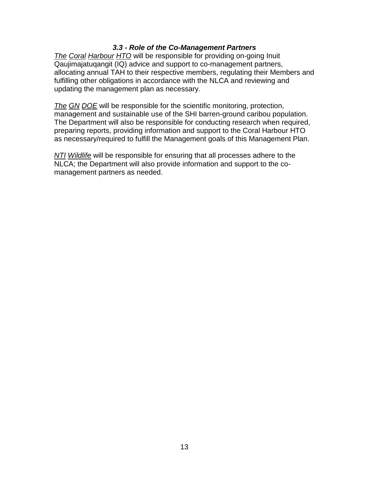#### <span id="page-12-0"></span>*3.3 - Role of the Co-Management Partners*

*The Coral Harbour HTO* will be responsible for providing on-going Inuit Qaujimajatuqangit (IQ) advice and support to co-management partners, allocating annual TAH to their respective members, regulating their Members and fulfilling other obligations in accordance with the NLCA and reviewing and updating the management plan as necessary.

*The GN DOE* will be responsible for the scientific monitoring, protection, management and sustainable use of the SHI barren-ground caribou population. The Department will also be responsible for conducting research when required, preparing reports, providing information and support to the Coral Harbour HTO as necessary/required to fulfill the Management goals of this Management Plan.

*NTI Wildlife* will be responsible for ensuring that all processes adhere to the NLCA; the Department will also provide information and support to the comanagement partners as needed.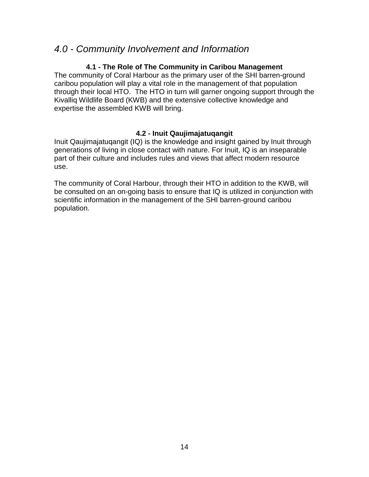## *4.0 - Community Involvement and Information*

#### **4.1 - The Role of The Community in Caribou Management**

The community of Coral Harbour as the primary user of the SHI barren-ground caribou population will play a vital role in the management of that population through their local HTO. The HTO in turn will garner ongoing support through the Kivalliq Wildlife Board (KWB) and the extensive collective knowledge and expertise the assembled KWB will bring.

#### <span id="page-13-2"></span><span id="page-13-1"></span><span id="page-13-0"></span>**4.2 - Inuit Qaujimajatuqangit**

Inuit Qaujimajatuqangit (IQ) is the knowledge and insight gained by Inuit through generations of living in close contact with nature. For Inuit, IQ is an inseparable part of their culture and includes rules and views that affect modern resource use.

The community of Coral Harbour, through their HTO in addition to the KWB, will be consulted on an on-going basis to ensure that IQ is utilized in conjunction with scientific information in the management of the SHI barren-ground caribou population.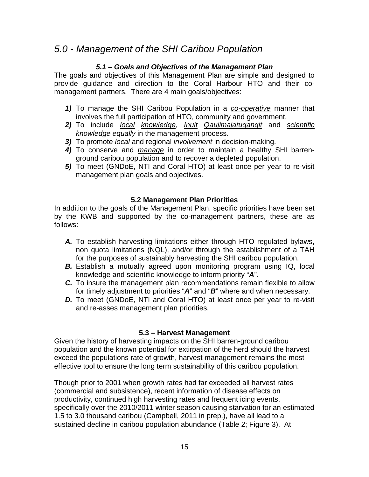# *5.0 - Management of the SHI Caribou Population*

#### <span id="page-14-1"></span><span id="page-14-0"></span>*5.1 – Goals and Objectives of the Management Plan*

The goals and objectives of this Management Plan are simple and designed to provide guidance and direction to the Coral Harbour HTO and their comanagement partners. There are 4 main goals/objectives:

- *1)* To manage the SHI Caribou Population in a *co-operative* manner that involves the full participation of HTO, community and government.
- *2)* To include *local knowledge*, *Inuit Qaujimajatuqangit* and *scientific knowledge equally* in the management process.
- *3)* To promote *local* and regional *involvement* in decision-making.
- *4)* To conserve and *manage* in order to maintain a healthy SHI barrenground caribou population and to recover a depleted population.
- *5)* To meet (GNDoE, NTI and Coral HTO) at least once per year to re-visit management plan goals and objectives.

#### <span id="page-14-2"></span>**5.2 Management Plan Priorities**

In addition to the goals of the Management Plan, specific priorities have been set by the KWB and supported by the co-management partners, these are as follows:

- *A.* To establish harvesting limitations either through HTO regulated bylaws, non quota limitations (NQL), and/or through the establishment of a TAH for the purposes of sustainably harvesting the SHI caribou population.
- **B.** Establish a mutually agreed upon monitoring program using IQ, local knowledge and scientific knowledge to inform priority "*A*".
- *C.* To insure the management plan recommendations remain flexible to allow for timely adjustment to priorities "*A*" and "*B*" where and when necessary.
- **D.** To meet (GNDoE, NTI and Coral HTO) at least once per year to re-visit and re-asses management plan priorities.

#### <span id="page-14-3"></span>**5.3 – Harvest Management**

Given the history of harvesting impacts on the SHI barren-ground caribou population and the known potential for extirpation of the herd should the harvest exceed the populations rate of growth, harvest management remains the most effective tool to ensure the long term sustainability of this caribou population.

Though prior to 2001 when growth rates had far exceeded all harvest rates (commercial and subsistence), recent information of disease effects on productivity, continued high harvesting rates and frequent icing events, specifically over the 2010/2011 winter season causing starvation for an estimated 1.5 to 3.0 thousand caribou (Campbell, 2011 in prep.), have all lead to a sustained decline in caribou population abundance (Table 2; Figure 3). At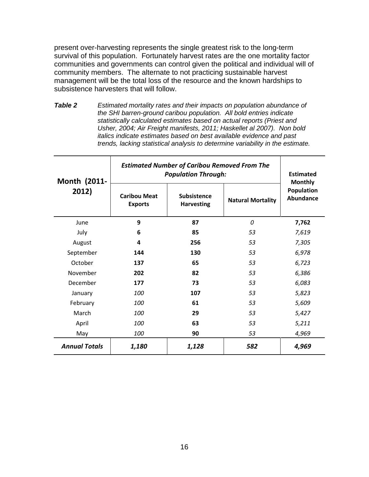present over-harvesting represents the single greatest risk to the long-term survival of this population. Fortunately harvest rates are the one mortality factor communities and governments can control given the political and individual will of community members. The alternate to not practicing sustainable harvest management will be the total loss of the resource and the known hardships to subsistence harvesters that will follow.

*Table 2 Estimated mortality rates and their impacts on population abundance of the SHI barren-ground caribou population. All bold entries indicate statistically calculated estimates based on actual reports (Priest and Usher, 2004; Air Freight manifests, 2011; Haskellet al 2007). Non bold italics indicate estimates based on best available evidence and past trends, lacking statistical analysis to determine variability in the estimate.*

| Month (2011-<br>2012) | <b>Estimated Number of Caribou Removed From The</b><br><b>Population Through:</b> |                                         |                          | <b>Estimated</b><br><b>Monthly</b> |
|-----------------------|-----------------------------------------------------------------------------------|-----------------------------------------|--------------------------|------------------------------------|
|                       | <b>Caribou Meat</b><br><b>Exports</b>                                             | <b>Subsistence</b><br><b>Harvesting</b> | <b>Natural Mortality</b> | Population<br><b>Abundance</b>     |
| June                  | 9                                                                                 | 87                                      | $\Omega$                 | 7,762                              |
| July                  | 6                                                                                 | 85                                      | 53                       | 7,619                              |
| August                | 4                                                                                 | 256                                     | 53                       | 7,305                              |
| September             | 144                                                                               | 130                                     | 53                       | 6,978                              |
| October               | 137                                                                               | 65                                      | 53                       | 6,723                              |
| November              | 202                                                                               | 82                                      | 53                       | 6,386                              |
| December              | 177                                                                               | 73                                      | 53                       | 6,083                              |
| January               | 100                                                                               | 107                                     | 53                       | 5,823                              |
| February              | 100                                                                               | 61                                      | 53                       | 5,609                              |
| March                 | 100                                                                               | 29                                      | 53                       | 5,427                              |
| April                 | <i>100</i>                                                                        | 63                                      | 53                       | 5,211                              |
| May                   | 100                                                                               | 90                                      | 53                       | 4,969                              |
| <b>Annual Totals</b>  | 1,180                                                                             | 1,128                                   | 582                      | 4,969                              |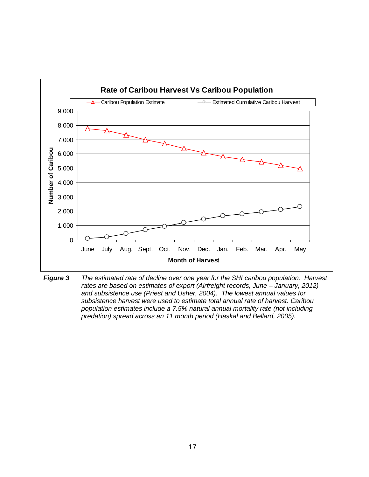

*Figure 3 The estimated rate of decline over one year for the SHI caribou population. Harvest rates are based on estimates of export (Airfreight records, June – January, 2012) and subsistence use (Priest and Usher, 2004). The lowest annual values for subsistence harvest were used to estimate total annual rate of harvest. Caribou population estimates include a 7.5% natural annual mortality rate (not including predation) spread across an 11 month period (Haskal and Bellard, 2005).*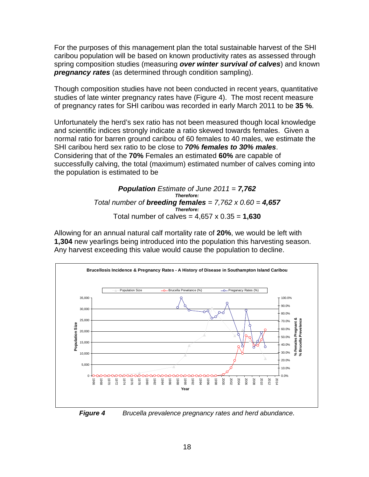For the purposes of this management plan the total sustainable harvest of the SHI caribou population will be based on known productivity rates as assessed through spring composition studies (measuring *over winter survival of calves*) and known *pregnancy rates* (as determined through condition sampling).

Though composition studies have not been conducted in recent years, quantitative studies of late winter pregnancy rates have (Figure 4). The most recent measure of pregnancy rates for SHI caribou was recorded in early March 2011 to be **35 %**.

Unfortunately the herd's sex ratio has not been measured though local knowledge and scientific indices strongly indicate a ratio skewed towards females. Given a normal ratio for barren ground caribou of 60 females to 40 males, we estimate the SHI caribou herd sex ratio to be close to *70% females to 30% males*. Considering that of the **70%** Females an estimated **60%** are capable of successfully calving, the total (maximum) estimated number of calves coming into the population is estimated to be

> *Population Estimate of June 2011 = 7,762 Therefore: Total number of breeding females = 7,762 x 0.60 = 4,657 Therefore:* Total number of calves = 4,657 x 0.35 = **1,630**

Allowing for an annual natural calf mortality rate of **20%**, we would be left with **1,304** new yearlings being introduced into the population this harvesting season. Any harvest exceeding this value would cause the population to decline.



*Figure 4 Brucella prevalence pregnancy rates and herd abundance.*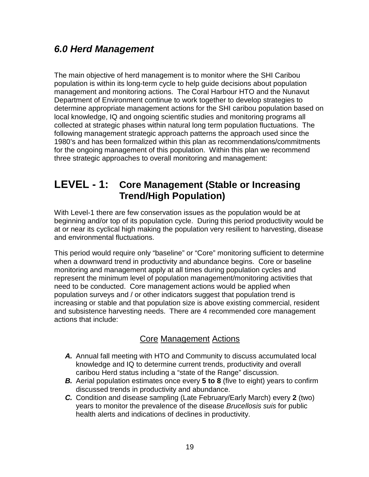# <span id="page-18-0"></span>*6.0 Herd Management*

The main objective of herd management is to monitor where the SHI Caribou population is within its long-term cycle to help guide decisions about population management and monitoring actions. The Coral Harbour HTO and the Nunavut Department of Environment continue to work together to develop strategies to determine appropriate management actions for the SHI caribou population based on local knowledge, IQ and ongoing scientific studies and monitoring programs all collected at strategic phases within natural long term population fluctuations. The following management strategic approach patterns the approach used since the 1980's and has been formalized within this plan as recommendations/commitments for the ongoing management of this population. Within this plan we recommend three strategic approaches to overall monitoring and management:

# **LEVEL - 1: Core Management (Stable or Increasing Trend/High Population)**

With Level-1 there are few conservation issues as the population would be at beginning and/or top of its population cycle. During this period productivity would be at or near its cyclical high making the population very resilient to harvesting, disease and environmental fluctuations.

This period would require only "baseline" or "Core" monitoring sufficient to determine when a downward trend in productivity and abundance begins. Core or baseline monitoring and management apply at all times during population cycles and represent the minimum level of population management/monitoring activities that need to be conducted. Core management actions would be applied when population surveys and / or other indicators suggest that population trend is increasing or stable and that population size is above existing commercial, resident and subsistence harvesting needs. There are 4 recommended core management actions that include:

### Core Management Actions

- *A.* Annual fall meeting with HTO and Community to discuss accumulated local knowledge and IQ to determine current trends, productivity and overall caribou Herd status including a "state of the Range" discussion.
- *B.* Aerial population estimates once every **5 to 8** (five to eight) years to confirm discussed trends in productivity and abundance.
- *C.* Condition and disease sampling (Late February/Early March) every **2** (two) years to monitor the prevalence of the disease *Brucellosis suis* for public health alerts and indications of declines in productivity.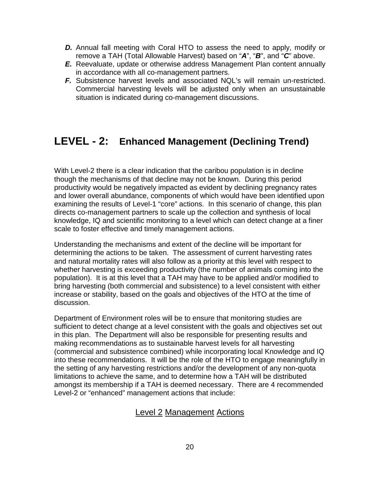- **D.** Annual fall meeting with Coral HTO to assess the need to apply, modify or remove a TAH (Total Allowable Harvest) based on "*A*", "*B*", and "*C*" above.
- *E.* Reevaluate, update or otherwise address Management Plan content annually in accordance with all co-management partners.
- *F.* Subsistence harvest levels and associated NQL's will remain un-restricted. Commercial harvesting levels will be adjusted only when an unsustainable situation is indicated during co-management discussions.

# **LEVEL - 2: Enhanced Management (Declining Trend)**

With Level-2 there is a clear indication that the caribou population is in decline though the mechanisms of that decline may not be known. During this period productivity would be negatively impacted as evident by declining pregnancy rates and lower overall abundance, components of which would have been identified upon examining the results of Level-1 "core" actions. In this scenario of change, this plan directs co-management partners to scale up the collection and synthesis of local knowledge, IQ and scientific monitoring to a level which can detect change at a finer scale to foster effective and timely management actions.

Understanding the mechanisms and extent of the decline will be important for determining the actions to be taken. The assessment of current harvesting rates and natural mortality rates will also follow as a priority at this level with respect to whether harvesting is exceeding productivity (the number of animals coming into the population). It is at this level that a TAH may have to be applied and/or modified to bring harvesting (both commercial and subsistence) to a level consistent with either increase or stability, based on the goals and objectives of the HTO at the time of discussion.

Department of Environment roles will be to ensure that monitoring studies are sufficient to detect change at a level consistent with the goals and objectives set out in this plan. The Department will also be responsible for presenting results and making recommendations as to sustainable harvest levels for all harvesting (commercial and subsistence combined) while incorporating local Knowledge and IQ into these recommendations. It will be the role of the HTO to engage meaningfully in the setting of any harvesting restrictions and/or the development of any non-quota limitations to achieve the same, and to determine how a TAH will be distributed amongst its membership if a TAH is deemed necessary. There are 4 recommended Level-2 or "enhanced" management actions that include:

### Level 2 Management Actions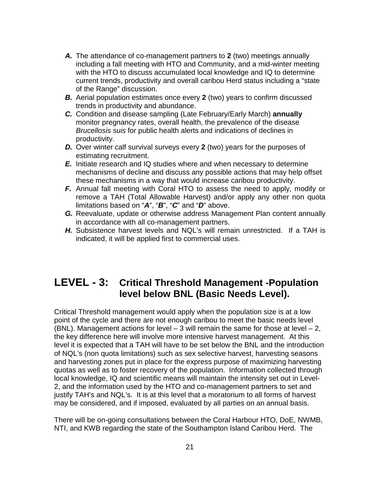- *A.* The attendance of co-management partners to **2** (two) meetings annually including a fall meeting with HTO and Community, and a mid-winter meeting with the HTO to discuss accumulated local knowledge and IQ to determine current trends, productivity and overall caribou Herd status including a "state of the Range" discussion.
- *B.* Aerial population estimates once every **2** (two) years to confirm discussed trends in productivity and abundance.
- *C.* Condition and disease sampling (Late February/Early March) **annually** monitor pregnancy rates, overall health, the prevalence of the disease *Brucellosis suis* for public health alerts and indications of declines in productivity.
- *D.* Over winter calf survival surveys every **2** (two) years for the purposes of estimating recruitment.
- *E.* Initiate research and IQ studies where and when necessary to determine mechanisms of decline and discuss any possible actions that may help offset these mechanisms in a way that would increase caribou productivity.
- *F.* Annual fall meeting with Coral HTO to assess the need to apply, modify or remove a TAH (Total Allowable Harvest) and/or apply any other non quota limitations based on "*A*", "*B*", "*C*" and "*D*" above.
- *G.* Reevaluate, update or otherwise address Management Plan content annually in accordance with all co-management partners.
- *H.* Subsistence harvest levels and NQL's will remain unrestricted. If a TAH is indicated, it will be applied first to commercial uses.

# **LEVEL - 3: Critical Threshold Management -Population level below BNL (Basic Needs Level).**

Critical Threshold management would apply when the population size is at a low point of the cycle and there are not enough caribou to meet the basic needs level (BNL). Management actions for level  $-3$  will remain the same for those at level  $-2$ , the key difference here will involve more intensive harvest management. At this level it is expected that a TAH will have to be set below the BNL and the introduction of NQL's (non quota limitations) such as sex selective harvest, harvesting seasons and harvesting zones put in place for the express purpose of maximizing harvesting quotas as well as to foster recovery of the population. Information collected through local knowledge, IQ and scientific means will maintain the intensity set out in Level-2, and the information used by the HTO and co-management partners to set and justify TAH's and NQL's. It is at this level that a moratorium to all forms of harvest may be considered, and if imposed, evaluated by all parties on an annual basis.

There will be on-going consultations between the Coral Harbour HTO, DoE, NWMB, NTI, and KWB regarding the state of the Southampton Island Caribou Herd. The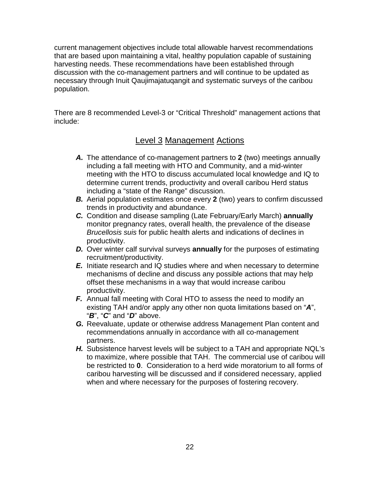current management objectives include total allowable harvest recommendations that are based upon maintaining a vital, healthy population capable of sustaining harvesting needs. These recommendations have been established through discussion with the co-management partners and will continue to be updated as necessary through Inuit Qaujimajatuqangit and systematic surveys of the caribou population.

There are 8 recommended Level-3 or "Critical Threshold" management actions that include:

### Level 3 Management Actions

- *A.* The attendance of co-management partners to **2** (two) meetings annually including a fall meeting with HTO and Community, and a mid-winter meeting with the HTO to discuss accumulated local knowledge and IQ to determine current trends, productivity and overall caribou Herd status including a "state of the Range" discussion.
- *B.* Aerial population estimates once every **2** (two) years to confirm discussed trends in productivity and abundance.
- *C.* Condition and disease sampling (Late February/Early March) **annually** monitor pregnancy rates, overall health, the prevalence of the disease *Brucellosis suis* for public health alerts and indications of declines in productivity.
- *D.* Over winter calf survival surveys **annually** for the purposes of estimating recruitment/productivity.
- *E.* Initiate research and IQ studies where and when necessary to determine mechanisms of decline and discuss any possible actions that may help offset these mechanisms in a way that would increase caribou productivity.
- *F.* Annual fall meeting with Coral HTO to assess the need to modify an existing TAH and/or apply any other non quota limitations based on "*A*", "*B*", "*C*" and "*D*" above.
- *G.* Reevaluate, update or otherwise address Management Plan content and recommendations annually in accordance with all co-management partners.
- *H.* Subsistence harvest levels will be subject to a TAH and appropriate NQL's to maximize, where possible that TAH. The commercial use of caribou will be restricted to **0**. Consideration to a herd wide moratorium to all forms of caribou harvesting will be discussed and if considered necessary, applied when and where necessary for the purposes of fostering recovery.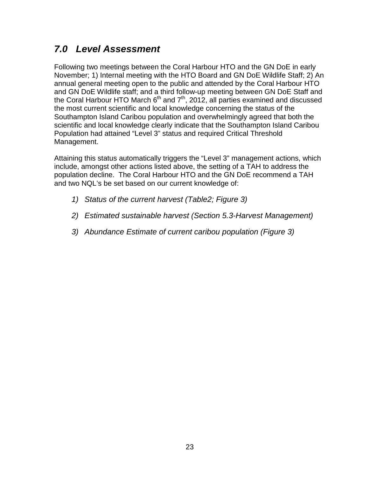# <span id="page-22-0"></span>*7.0 Level Assessment*

Following two meetings between the Coral Harbour HTO and the GN DoE in early November; 1) Internal meeting with the HTO Board and GN DoE Wildlife Staff; 2) An annual general meeting open to the public and attended by the Coral Harbour HTO and GN DoE Wildlife staff; and a third follow-up meeting between GN DoE Staff and the Coral Harbour HTO March  $6<sup>th</sup>$  and  $7<sup>th</sup>$ , 2012, all parties examined and discussed the most current scientific and local knowledge concerning the status of the Southampton Island Caribou population and overwhelmingly agreed that both the scientific and local knowledge clearly indicate that the Southampton Island Caribou Population had attained "Level 3" status and required Critical Threshold Management.

Attaining this status automatically triggers the "Level 3" management actions, which include, amongst other actions listed above, the setting of a TAH to address the population decline. The Coral Harbour HTO and the GN DoE recommend a TAH and two NQL's be set based on our current knowledge of:

- *1) Status of the current harvest (Table2; Figure 3)*
- *2) Estimated sustainable harvest (Section 5.3-Harvest Management)*
- *3) Abundance Estimate of current caribou population (Figure 3)*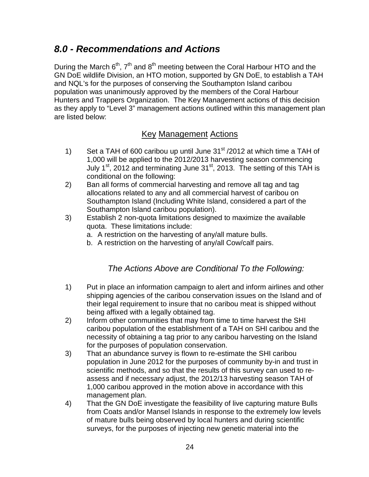# *8.0 - Recommendations and Actions*

During the March  $6<sup>th</sup>$ ,  $7<sup>th</sup>$  and  $8<sup>th</sup>$  meeting between the Coral Harbour HTO and the GN DoE wildlife Division, an HTO motion, supported by GN DoE, to establish a TAH and NQL's for the purposes of conserving the Southampton Island caribou population was unanimously approved by the members of the Coral Harbour Hunters and Trappers Organization. The Key Management actions of this decision as they apply to "Level 3" management actions outlined within this management plan are listed below:

## <span id="page-23-0"></span>Key Management Actions

- 1) Set a TAH of 600 caribou up until June  $31<sup>st</sup>$  /2012 at which time a TAH of 1,000 will be applied to the 2012/2013 harvesting season commencing July  $1<sup>st</sup>$ , 2012 and terminating June 31 $<sup>st</sup>$ , 2013. The setting of this TAH is</sup> conditional on the following:
- 2) Ban all forms of commercial harvesting and remove all tag and tag allocations related to any and all commercial harvest of caribou on Southampton Island (Including White Island, considered a part of the Southampton Island caribou population).
- 3) Establish 2 non-quota limitations designed to maximize the available quota. These limitations include:
	- a. A restriction on the harvesting of any/all mature bulls.
	- b. A restriction on the harvesting of any/all Cow/calf pairs.

## *The Actions Above are Conditional To the Following:*

- 1) Put in place an information campaign to alert and inform airlines and other shipping agencies of the caribou conservation issues on the Island and of their legal requirement to insure that no caribou meat is shipped without being affixed with a legally obtained tag.
- 2) Inform other communities that may from time to time harvest the SHI caribou population of the establishment of a TAH on SHI caribou and the necessity of obtaining a tag prior to any caribou harvesting on the Island for the purposes of population conservation.
- 3) That an abundance survey is flown to re-estimate the SHI caribou population in June 2012 for the purposes of community by-in and trust in scientific methods, and so that the results of this survey can used to reassess and if necessary adjust, the 2012/13 harvesting season TAH of 1,000 caribou approved in the motion above in accordance with this management plan.
- 4) That the GN DoE investigate the feasibility of live capturing mature Bulls from Coats and/or Mansel Islands in response to the extremely low levels of mature bulls being observed by local hunters and during scientific surveys, for the purposes of injecting new genetic material into the